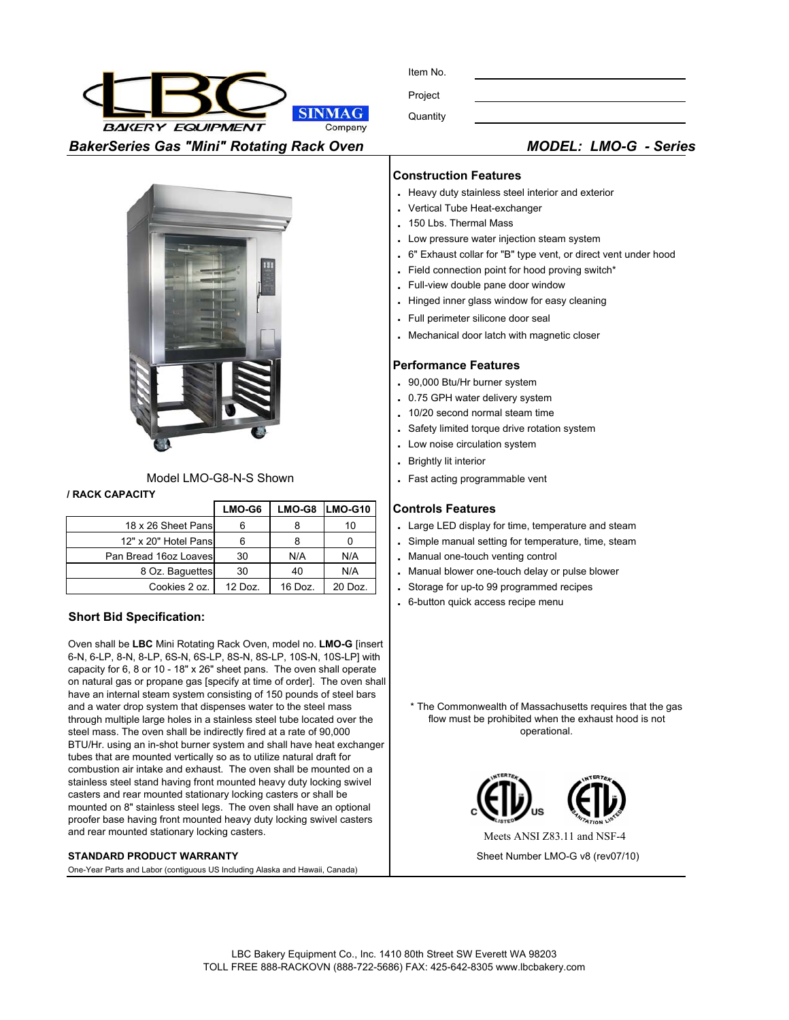

| ltem No. |  |
|----------|--|
| Project  |  |

**Quantity** 



### Model LMO-G8-N-S Shown

#### **/ RACK CAPACITY**

|                       | LMO-G6    |         | LMO-G8 LMO-G10 |
|-----------------------|-----------|---------|----------------|
| 18 x 26 Sheet Pansl   | 6         |         | 10             |
| 12" x 20" Hotel Pansl | 6         |         |                |
| Pan Bread 16oz Loaves | 30        | N/A     | N/A            |
| 8 Oz. Baguettes       | 30        | 40      | N/A            |
| Cookies 2 oz.         | $12$ Doz. | 16 Doz. | 20 Doz.        |

## **Short Bid Specification:**

Oven shall be **LBC** Mini Rotating Rack Oven, model no. **LMO-G** [insert 6-N, 6-LP, 8-N, 8-LP, 6S-N, 6S-LP, 8S-N, 8S-LP, 10S-N, 10S-LP] with capacity for 6, 8 or 10 - 18" x 26" sheet pans. The oven shall operate on natural gas or propane gas [specify at time of order]. The oven shall have an internal steam system consisting of 150 pounds of steel bars and a water drop system that dispenses water to the steel mass through multiple large holes in a stainless steel tube located over the steel mass. The oven shall be indirectly fired at a rate of 90,000 BTU/Hr. using an in-shot burner system and shall have heat exchanger tubes that are mounted vertically so as to utilize natural draft for combustion air intake and exhaust. The oven shall be mounted on a stainless steel stand having front mounted heavy duty locking swivel casters and rear mounted stationary locking casters or shall be mounted on 8" stainless steel legs. The oven shall have an optional proofer base having front mounted heavy duty locking swivel casters and rear mounted stationary locking casters.

#### **STANDARD PRODUCT WARRANTY**

One-Year Parts and Labor (contiguous US Including Alaska and Hawaii, Canada)

#### **Construction Features**

- **.** Heavy duty stainless steel interior and exterior
- **.** Vertical Tube Heat-exchanger
- **.** 150 Lbs. Thermal Mass
- **.** Low pressure water injection steam system
- **.** 6" Exhaust collar for "B" type vent, or direct vent under hood
- **.** Field connection point for hood proving switch\*
- **.** Full-view double pane door window
- **.** Hinged inner glass window for easy cleaning
- **.** Full perimeter silicone door seal
- **.** Mechanical door latch with magnetic closer

#### **Performance Features**

- **.** 90,000 Btu/Hr burner system
- **.** 0.75 GPH water delivery system
- **.** 10/20 second normal steam time
- **.** Safety limited torque drive rotation system
- **.** Low noise circulation system
- **.** Brightly lit interior
- **.** Fast acting programmable vent

#### **Controls Features**

- 6 8 10 **.** Large LED display for time, temperature and steam
- 6 80 **.** Simple manual setting for temperature, time, steam
- . Manual one-touch venting control
- . Manual blower one-touch delay or pulse blower
- . Storage for up-to 99 programmed recipes
- **.** 6-button quick access recipe menu

\* The Commonwealth of Massachusetts requires that the gas flow must be prohibited when the exhaust hood is not operational.



Sheet Number LMO-G v8 (rev07/10)